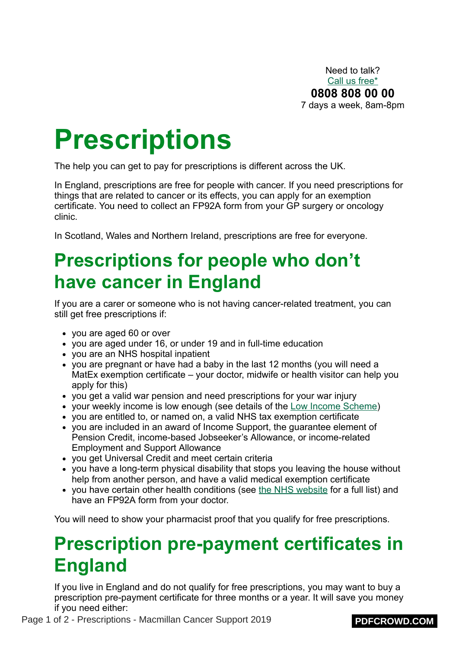Need to talk? [Call us free\\*](https://www.macmillan.org.uk/information-and-support/coping/getting-support/talking-to-us/macmillan-support-line-mobile.html#203612) **0808 808 00 00** 7 days a week, 8am-8pm

# **Prescriptions**

The help you can get to pay for prescriptions is different across the UK.

In England, prescriptions are free for people with cancer. If you need prescriptions for things that are related to cancer or its effects, you can apply for an exemption certificate. You need to collect an FP92A form from your GP surgery or oncology clinic.

In Scotland, Wales and Northern Ireland, prescriptions are free for everyone.

## **Prescriptions for people who don't have cancer in England**

If you are a carer or someone who is not having cancer-related treatment, you can still get free prescriptions if:

- you are aged 60 or over
- you are aged under 16, or under 19 and in full-time education
- you are an NHS hospital inpatient
- you are pregnant or have had a baby in the last 12 months (you will need a MatEx exemption certificate – your doctor, midwife or health visitor can help you apply for this)
- you get a valid war pension and need prescriptions for your war injury
- your weekly income is low enough (see details of the [Low Income Scheme\)](https://www.macmillan.org.uk/information-and-support/leukaemia/Hairy-cell-leukaemia-HCL/organising/benefits-and-financial-support/help-with-health-costs/low-income-scheme.html#44994)
- you are entitled to, or named on, a valid NHS tax exemption certificate
- you are included in an award of Income Support, the guarantee element of Pension Credit, income-based Jobseeker's Allowance, or income-related Employment and Support Allowance
- you get Universal Credit and meet certain criteria
- you have a long-term physical disability that stops you leaving the house without help from another person, and have a valid medical exemption certificate
- you have certain other health conditions (see [the NHS website](http://www.nhs.uk/NHSEngland/healthcosts/Pages/help-with-health-costs.aspx) for a full list) and have an FP92A form from your doctor.

You will need to show your pharmacist proof that you qualify for free prescriptions.

### **Prescription pre-payment certificates in England**

If you live in England and do not qualify for free prescriptions, you may want to buy a prescription pre-payment certificate for three months or a year. It will save you money if you need either: